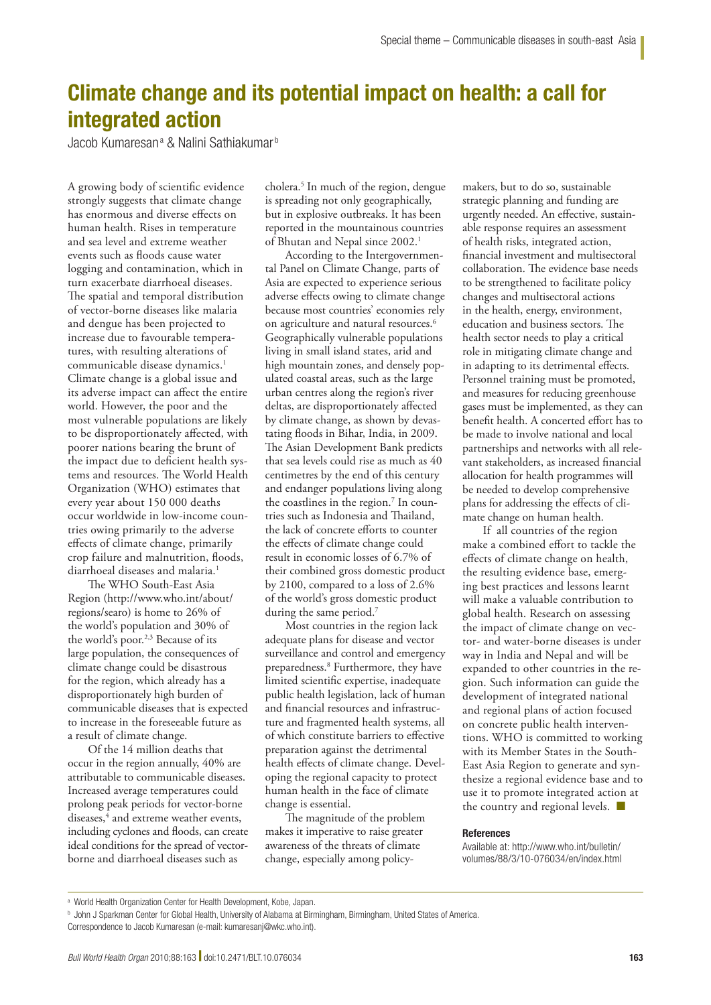## Climate change and its potential impact on health: a call for integrated action

Jacob Kumaresanª & Nalini Sathiakumar<sup>b</sup>

A growing body of scientific evidence strongly suggests that climate change has enormous and diverse effects on human health. Rises in temperature and sea level and extreme weather events such as floods cause water logging and contamination, which in turn exacerbate diarrhoeal diseases. The spatial and temporal distribution of vector-borne diseases like malaria and dengue has been projected to increase due to favourable temperatures, with resulting alterations of communicable disease dynamics.<sup>1</sup> Climate change is a global issue and its adverse impact can affect the entire world. However, the poor and the most vulnerable populations are likely to be disproportionately affected, with poorer nations bearing the brunt of the impact due to deficient health systems and resources. The World Health Organization (WHO) estimates that every year about 150 000 deaths occur worldwide in low-income countries owing primarily to the adverse effects of climate change, primarily crop failure and malnutrition, floods, diarrhoeal diseases and malaria.1

The WHO South-East Asia Region (http://www.who.int/about/ regions/searo) is home to 26% of the world's population and 30% of the world's poor.<sup>2,3</sup> Because of its large population, the consequences of climate change could be disastrous for the region, which already has a disproportionately high burden of communicable diseases that is expected to increase in the foreseeable future as a result of climate change.

Of the 14 million deaths that occur in the region annually, 40% are attributable to communicable diseases. Increased average temperatures could prolong peak periods for vector-borne diseases,<sup>4</sup> and extreme weather events, including cyclones and floods, can create ideal conditions for the spread of vectorborne and diarrhoeal diseases such as

cholera.5 In much of the region, dengue is spreading not only geographically, but in explosive outbreaks. It has been reported in the mountainous countries of Bhutan and Nepal since 2002.<sup>1</sup>

According to the Intergovernmental Panel on Climate Change, parts of Asia are expected to experience serious adverse effects owing to climate change because most countries' economies rely on agriculture and natural resources.<sup>6</sup> Geographically vulnerable populations living in small island states, arid and high mountain zones, and densely populated coastal areas, such as the large urban centres along the region's river deltas, are disproportionately affected by climate change, as shown by devastating floods in Bihar, India, in 2009. The Asian Development Bank predicts that sea levels could rise as much as 40 centimetres by the end of this century and endanger populations living along the coastlines in the region.<sup>7</sup> In countries such as Indonesia and Thailand, the lack of concrete efforts to counter the effects of climate change could result in economic losses of 6.7% of their combined gross domestic product by 2100, compared to a loss of 2.6% of the world's gross domestic product during the same period.<sup>7</sup>

Most countries in the region lack adequate plans for disease and vector surveillance and control and emergency preparedness.8 Furthermore, they have limited scientific expertise, inadequate public health legislation, lack of human and financial resources and infrastructure and fragmented health systems, all of which constitute barriers to effective preparation against the detrimental health effects of climate change. Developing the regional capacity to protect human health in the face of climate change is essential.

The magnitude of the problem makes it imperative to raise greater awareness of the threats of climate change, especially among policymakers, but to do so, sustainable strategic planning and funding are urgently needed. An effective, sustainable response requires an assessment of health risks, integrated action, financial investment and multisectoral collaboration. The evidence base needs to be strengthened to facilitate policy changes and multisectoral actions in the health, energy, environment, education and business sectors. The health sector needs to play a critical role in mitigating climate change and in adapting to its detrimental effects. Personnel training must be promoted, and measures for reducing greenhouse gases must be implemented, as they can benefit health. A concerted effort has to be made to involve national and local partnerships and networks with all relevant stakeholders, as increased financial allocation for health programmes will be needed to develop comprehensive plans for addressing the effects of climate change on human health.

If all countries of the region make a combined effort to tackle the effects of climate change on health, the resulting evidence base, emerging best practices and lessons learnt will make a valuable contribution to global health. Research on assessing the impact of climate change on vector- and water-borne diseases is under way in India and Nepal and will be expanded to other countries in the region. Such information can guide the development of integrated national and regional plans of action focused on concrete public health interventions. WHO is committed to working with its Member States in the South-East Asia Region to generate and synthesize a regional evidence base and to use it to promote integrated action at the country and regional levels. ■

## References

Available at: http://www.who.int/bulletin/ volumes/88/3/10-076034/en/index.html

**b** John J Sparkman Center for Global Health, University of Alabama at Birmingham, Birmingham, United States of America.

a World Health Organization Center for Health Development, Kobe, Japan.

Correspondence to Jacob Kumaresan (e-mail: kumaresanj@wkc.who.int).